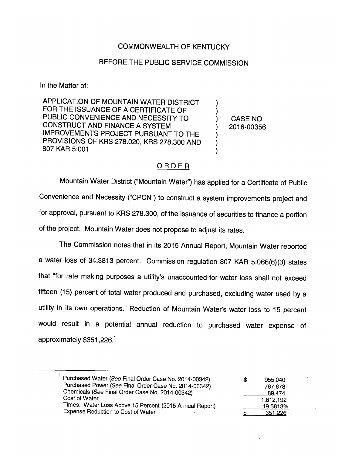## COMMONWEALTH OF KENTUCKY

## BEFORE THE PUBLIC SERVICE COMMISSION

In the Matter of:

APPLICATION OF MOUNTAIN WATER DISTRICT FOR THE ISSUANCE OF A CERTIFICATE OF PUBLIC CONVENIENCE AND NECESSITY TO  $(3.50)$  CASE NO. CONSTRUCT AND FINANCE A SYSTEM  $(2016-00356)$ IMPROVEMENTS PROJECT PURSUANT TO THE PROVISIONS OF KRS 278.020, KRS 278.300 AND 807 KAR 5:001

## ORDER

Mountain Water District ("Mountain Water") has applied for a Certificate of Public Convenience and Necessity ("CPCN") to construct a system improvements project and for approval, pursuant to KRS 278.300, of the issuance of securities to finance a portion of the project. Mountain Water does not propose to adjust its rates.

The Commission notes that in its 2015 Annual Report, Mountain Water reported a water loss of 34.3813 percent. Commission regulation 807 KAR 5:066(6)(3) states that "for rate making purposes a utility's unaccounted-for water loss shall not exceed fifteen (15) percent of total water produced and purchased, excluding water used by a utility in its own operations." Reduction of Mountain Water's water loss to 15 percent would result in a potential annual reduction to purchased water expense of approximately  $$351,226.<sup>1</sup>$ 

| Purchased Water (See Final Order Case No. 2014-00342)<br>Purchased Power (See Final Order Case No. 2014-00342)<br>Chemicals (See Final Order Case No. 2014-00342)<br>Cost of Water<br>Times: Water Loss Above 15 Percent (2015 Annual Report) | £. | 955.040<br>767.678<br>89.474<br>1,812,192<br>19.3813% |
|-----------------------------------------------------------------------------------------------------------------------------------------------------------------------------------------------------------------------------------------------|----|-------------------------------------------------------|
| <b>Expense Reduction to Cost of Water</b>                                                                                                                                                                                                     |    | 351.226                                               |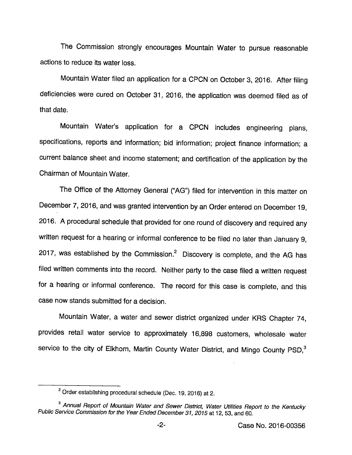The Commission strongly encourages Mountain Water to pursue reasonable actions to reduce its water loss.

Mountain Water filed an application for a CPCN on October 3, 2016. After filing deficiencies were cured on October 31, 2016, the application was deemed filed as of that date.

Mountain Water's application for a CPCN includes engineering plans, specifications, reports and information; bid information; project finance information; a current balance sheet and income statement; and certification of the application by the Chairman of Mountain Water.

The Office of the Attorney General ("AG") filed for intervention in this matter on December 7, 2016, and was granted intervention by an Order entered on December 19, 2016. Aprocedural schedule that provided for one round of discovery and required any written request for a hearing or informal conference to be filed no later than January 9, 2017, was established by the Commission. $<sup>2</sup>$  Discovery is complete, and the AG has</sup> filed written comments into the record. Neither party to the case filed a written request for a hearing or informal conference. The record for this case is complete, and this case now stands submitted for a decision.

Mountain Water, a water and sewer district organized under KRS Chapter 74, provides retail water service to approximately 16,898 customers, wholesale water service to the city of Elkhorn, Martin County Water District, and Mingo County PSD,<sup>3</sup>

 $2$  Order establishing procedural schedule (Dec. 19, 2016) at 2.

<sup>&</sup>lt;sup>3</sup> Annual Report of Mountain Water and Sewer District, Water Utilities Report to the Kentucky Public Service Commission for the Year Ended December 31, 2015 at 12, 53, and 60.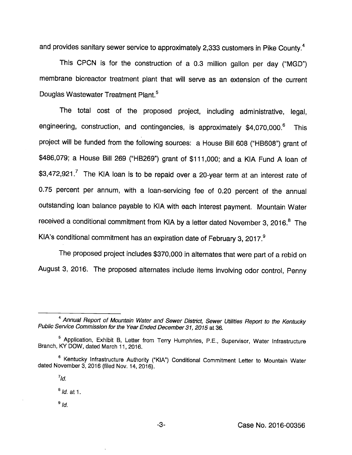and provides sanitary sewer service to approximately 2,333 customers in Pike County.<sup>4</sup>

This CPCN is for the construction of a 0.3 million gallon per day ("MGD") membrane bioreactor treatment plant that will serve as an extension of the current Douglas Wastewater Treatment Plant.<sup>5</sup>

The total cost of the proposed project, including administrative, legai, engineering, construction, and contingencies, is approximately \$4,070,000.<sup>6</sup> This project will be funded from the following sources; a House Bill 608 ("HB608") grant of \$486,079; a House Bill 269 ("HB269") grant of \$111,000; and a KIA Fund A loan of  $$3,472,921$ <sup>7</sup> The KIA loan is to be repaid over a 20-year term at an interest rate of 0.75 percent per annum, with a loan-servicing fee of 0.20 percent of the annual outstanding loan balance payable to KIA with each interest payment. Mountain Water received a conditional commitment from KIA by a letter dated November 3, 2016.<sup>8</sup> The KIA's conditional commitment has an expiration date of February 3, 2017.®

The proposed project includes \$370,000 in alternates that were part of a rebid on August 3, 2016. The proposed alternates include items involving odor control. Penny

 $^9$  Id.

<sup>&</sup>lt;sup>4</sup> Annual Report of Mountain Water and Sewer District, Sewer Utilities Report to the Kentucky Public Service Commission for the Year Ended December 31, 2015 at 36.

<sup>&</sup>lt;sup>5</sup> Application, Exhibit B, Letter from Terry Humphries, P.E., Supervisor, Water Infrastructure Branch, KY DOW, dated March 11, 2016.

<sup>®</sup>Kentucky Infrastructure Authority ("KIA") Conditional Commitment Letter to Mountain Water dated November 3, 2016 (filed Nov. 14, 2016).

 $^7$ Id.

 $<sup>8</sup>$  *ld.* at 1.</sup>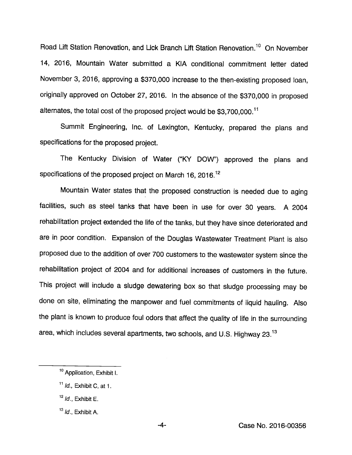Road Lift Station Renovation, and Lick Branch Lift Station Renovation.<sup>10</sup> On November 14, 2016, Mountain Water submitted a KIA conditional commitment letter dated November 3, 2016, approving a \$370,000 increase to the then-existing proposed loan, originally approved on October 27, 2016. In the absence of the \$370,000 in proposed alternates, the total cost of the proposed project would be  $$3,700,000$ .<sup>11</sup>

Summit Engineering, Inc. of Lexington, Kentucky, prepared the plans and specifications for the proposed project.

The Kentucky Division of Water ("KY DOW") approved the plans and specifications of the proposed project on March 16, 2016.<sup>12</sup>

Mountain Water states that the proposed construction is needed due to aging facilities, such as steel tanks that have been in use for over 30 years. A 2004 rehabilitation project extended the life of the tanks, but they have since deteriorated and are in poor condition. Expansion of the Douglas Wastewater Treatment Plant is also proposed due to the addition of over 700 customers to the wastewater system since the rehabilitation project of 2004 and for additional increases of customers in the future. This project will include a sludge dewatering box so that sludge processing may be done on site, eliminating the manpower and fuel commitments of liquid hauling. Also the plant is known to produce foul odors that affect the quality of life in the surrounding area, which includes several apartments, two schools, and U.S. Highway  $23.^{13}$ 

 $13$  *Id.*, Exhibit A.

<sup>&</sup>lt;sup>10</sup> Application, Exhibit I.

 $11$  *Id.*, Exhibit C, at 1.

 $12$  *ld.*, Exhibit E.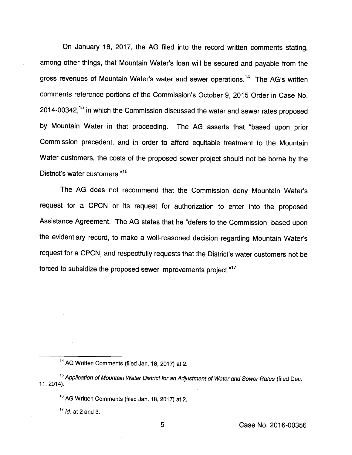On January 18, 2017, the AG filed into the record written comments stating, among other things, that Mountain Water's loan will be secured and payable from the gross revenues of Mountain Water's water and sewer operations.<sup>14</sup> The AG's written comments reference portions of the Commission's October 9, 2015 Order in Case No.  $2014$ -00342,<sup>15</sup> in which the Commission discussed the water and sewer rates proposed by Mountain Water in that proceeding. The AG asserts that "based upon prior Commission precedent, and in order to afford equitable treatment to the Mountain Water customers, the costs of the proposed sewer project should not be borne by the District's water customers."<sup>16</sup>

The AG does not recommend that the Commission deny Mountain Water's request for a CPCN or its request for authorization to enter into the proposed Assistance Agreement. The AG states that he "defers to the Commission, based upon the evidentiary record, to make a well-reasoned decision regarding Mountain Water's request for a CPCN, and respectfully requests that the District's water customers not be forced to subsidize the proposed sewer improvements project." $17$ 

<sup>&</sup>lt;sup>14</sup> AG Written Comments (filed Jan. 18, 2017) at 2.

<sup>&</sup>lt;sup>15</sup> Application of Mountain Water District for an Adjustment of Water and Sewer Rates (filed Dec. 11,2014).

<sup>&</sup>lt;sup>16</sup> AG Written Comments (filed Jan. 18, 2017) at 2.

 $17$  *ld.* at 2 and 3.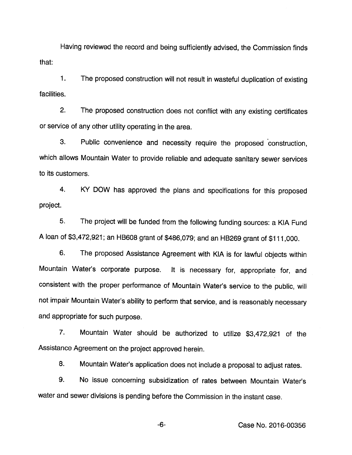Having reviewed the record and being sufficiently advised, the Commission finds that:

1. The proposed construction will not result in wasteful duplication of existing facilities.

2. The proposed construction does not conflict with any existing certificates or service of any other utility operating in the area.

3. Public convenience and necessity require the proposed construction, which allows Mountain Water to provide reliable and adequate sanitary sewer services to its customers.

4. KY DOW has approved the plans and specifications for this proposed project.

5. The project will be funded from the following funding sources: a KIA Fund A loan of \$3,472,921; an HB608 grant of \$486,079; and an HB269 grant of \$111,000.

6. The proposed Assistance Agreement with KIA is for lawful objects within Mountain Water's corporate purpose. It is necessary for, appropriate for, and consistent with the proper performance of Mountain Water's service to the public, will not impair Mountain Water's ability to perform that service, and is reasonably necessary and appropriate for such purpose.

7. Mountain Water should be authorized to utilize \$3,472,921 of the Assistance Agreement on the project approved herein.

8. Mountain Water's application does not include a proposal to adjust rates.

9. No issue concerning subsidization of rates between Mountain Water's water and sewer divisions is pending before the Commission in the instant case.

-6- Case No. 2016-00356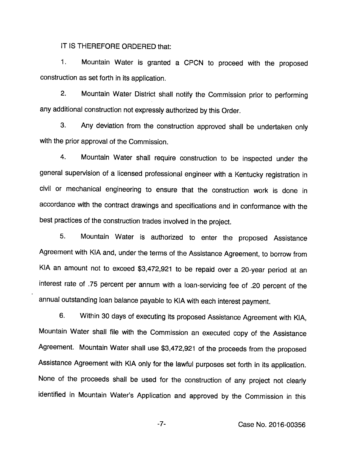IT IS THEREFORE ORDERED that:

1. Mountain Water is granted a OPON to proceed with the proposed construction as set forth in its application.

2. Mountain Water District shall notify the Commission prior to performing any additional construction not expressly authorized by this Order.

3. Any deviation from the construction approved shall be undertaken only with the prior approval of the Commission.

4. Mountain Water shall require construction to be inspected under the general supervision of a licensed professional engineer with a Kentucky registration in civil or mechanical engineering to ensure that the construction work is done in accordance with the contract drawings and specifications and in conformance with the best practices of the construction trades involved in the project.

5. Mountain Water is authorized to enter the proposed Assistance Agreement with KIA and, under the terms of the Assistance Agreement, to borrow from KIA an amount not to exceed \$3,472,921 to be repaid over a 20-year period at an interest rate of .75 percent per annum with a loan-servicing fee of .20 percent of the annual outstanding loan balance payable to KIA with each interest payment.

6. Within 30 days of executing its proposed Assistance Agreement with KIA, Mountain Water shall file with the Commission an executed copy of the Assistance Agreement. Mountain Water shall use \$3,472,921 of the proceeds from the proposed Assistance Agreement with KIA only for the lawful purposes set forth in its application. None of the proceeds shall be used for the construction of any project not clearly identified in Mountain Water's Application and approved by the Commission in this

-7- Case No. 2016-00356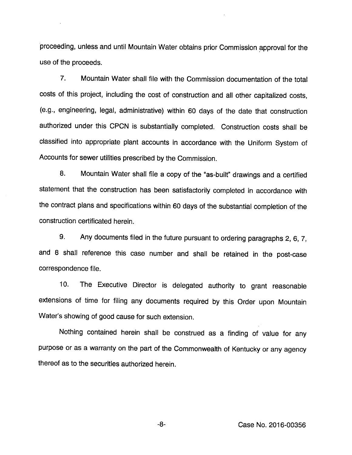proceeding, unless and until Mountain Water obtains prior Commission approval for the use of the proceeds.

7. Mountain Water shall file with the Commission documentation of the total costs of this project, including the cost of construction and all other capitalized costs, (e.g., engineering, legal, administrative) within 60 days of the date that construction authorized under this CPCN is substantially completed. Construction costs shall be classified into appropriate plant accounts in accordance with the Uniform System of Accounts for sewer utilities prescribed by the Commission.

8. Mountain Water shall file a copy of the "as-built" drawings and a certified statement that the construction has been satisfactorily completed in accordance with the contract plans and specifications within 60 days of the substantial completion of the construction certificated herein.

9. Any documents filed in the future pursuant to ordering paragraphs 2, 6, 7, and 8 shall reference this case number and shall be retained in the post-case correspondence file.

10. The Executive Director is delegated authority to grant reasonable extensions of time for filing any documents required by this Order upon Mountain Water's showing of good cause for such extension.

Nothing contained herein shall be construed as a finding of value for any purpose or as a warranty on the part of the Commonwealth of Kentucky or any agency thereof as to the securities authorized herein.

-8- Case No. 2016-00356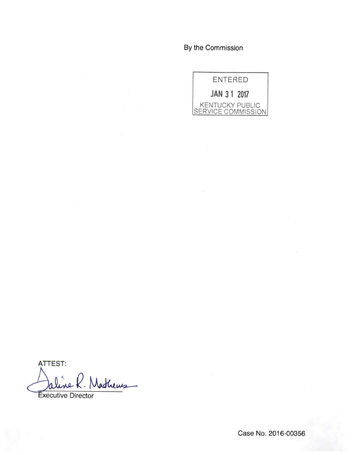By the Commission



ATTEST: Mathews

xecutive Director

Case No. 2016-00356